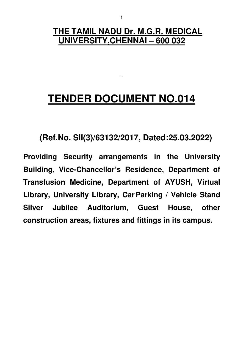# **THE TAMIL NADU Dr. M.G.R. MEDICAL UNIVERSITY,CHENNAI – 600 032**

# **TENDER DOCUMENT NO.014**

**(Ref.No. SII(3)/63132/2017, Dated:25.03.2022)** 

**Providing Security arrangements in the University Building, Vice-Chancellor's Residence, Department of Transfusion Medicine, Department of AYUSH, Virtual Library, University Library, Car Parking / Vehicle Stand Silver Jubilee Auditorium, Guest House, other construction areas, fixtures and fittings in its campus.**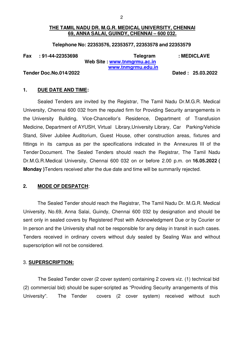#### **THE TAMIL NADU DR. M.G.R. MEDICAL UNIVERSITY, CHENNAI 69, ANNA SALAI, GUINDY, CHENNAI – 600 032.**

#### **Telephone No: 22353576, 22353577, 22353578 and 22353579**

**Fax : 91-44-22353698 Telegram : MEDICLAVE Web Site : www.tnmgrmu.ac.in www.tnmgrmu.edu.in**

**Tender Doc.No.014/2022 Dated : 25.03.2022** 

## **1. DUE DATE AND TIME:**

Sealed Tenders are invited by the Registrar, The Tamil Nadu Dr.M.G.R. Medical University, Chennai 600 032 from the reputed firm for Providing Security arrangements in the University Building, Vice-Chancellor's Residence, Department of Transfusion Medicine, Department of AYUSH, Virtual Library, University Library, Car Parking/Vehicle Stand, Silver Jubilee Auditorium, Guest House, other construction areas, fixtures and fittings in its campus as per the specifications indicated in the Annexures III of the Tender Document. The Sealed Tenders should reach the Registrar, The Tamil Nadu Dr.M.G.R. Medical University, Chennai 600 032 on or before 2.00 p.m. on **16.05.2022 ( Monday** ) Tenders received after the due date and time will be summarily rejected.

# **2. MODE OF DESPATCH**:

The Sealed Tender should reach the Registrar, The Tamil Nadu Dr. M.G.R. Medical University, No.69, Anna Salai, Guindy, Chennai 600 032 by designation and should be sent only in sealed covers by Registered Post with Acknowledgment Due or by Courier or In person and the University shall not be responsible for any delay in transit in such cases. Tenders received in ordinary covers without duly sealed by Sealing Wax and without superscription will not be considered.

# 3. **SUPERSCRIPTION:**

The Sealed Tender cover (2 cover system) containing 2 covers viz. (1) technical bid (2) commercial bid) should be super-scripted as "Providing Security arrangements of this University". The Tender covers (2 cover system) received without such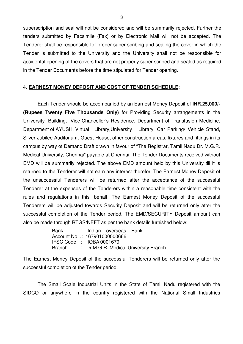superscription and seal will not be considered and will be summarily rejected. Further the tenders submitted by Facsimile (Fax) or by Electronic Mail will not be accepted. The Tenderer shall be responsible for proper super scribing and sealing the cover in which the Tender is submitted to the University and the University shall not be responsible for accidental opening of the covers that are not properly super scribed and sealed as required in the Tender Documents before the time stipulated for Tender opening.

#### 4. **EARNEST MONEY DEPOSIT AND COST OF TENDER SCHEDULE**:

Each Tender should be accompanied by an Earnest Money Deposit of **INR.25,000/- (Rupees Twenty Five Thousands Only)** for Providing Security arrangements in the University Building, Vice-Chancellor's Residence, Department of Transfusion Medicine, Department of AYUSH, Virtual Library, University Library, Car Parking/ Vehicle Stand, Silver Jubilee Auditorium, Guest House, other construction areas, fixtures and fittings in its campus by way of Demand Draft drawn in favour of "The Registrar, Tamil Nadu Dr. M.G.R. Medical University, Chennai" payable at Chennai. The Tender Documents received without EMD will be summarily rejected. The above EMD amount held by this University till it is returned to the Tenderer will not earn any interest therefor. The Earnest Money Deposit of the unsuccessful Tenderers will be returned after the acceptance of the successful Tenderer at the expenses of the Tenderers within a reasonable time consistent with the rules and regulations in this behalf. The Earnest Money Deposit of the successful Tenderers will be adjusted towards Security Deposit and will be returned only after the successful completion of the Tender period. The EMD/SECURITY Deposit amount can also be made through RTGS/NEFT as per the bank details furnished below:

> Bank : Indian overseas Bank Account No .: 167901000000666 IFSC Code : IOBA 0001679 Branch : Dr.M.G.R. Medical University Branch

The Earnest Money Deposit of the successful Tenderers will be returned only after the successful completion of the Tender period.

The Small Scale Industrial Units in the State of Tamil Nadu registered with the SIDCO or anywhere in the country registered with the National Small Industries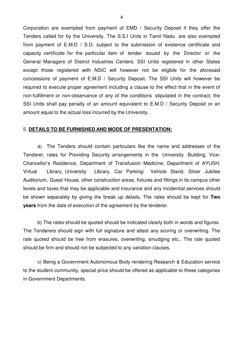Corporation are exempted from payment of EMD / Security Deposit if they offer the Tenders called for by the University. The S.S.I Units in Tamil Nadu are also exempted from payment of E.M.D / S.D. subject to the submission of existence certificate and capacity certificate for the particular item of tender issued by the Director or the General Managers of District Industries Centers. SSI Units registered in other States except those registered with NSIC will however not be eligible for the aforesaid concessions of payment of E.M.D / Security Deposit. The SSI Units will however be required to execute proper agreement including a clause to the effect that in the event of non-fulfillment or non-observance of any of the conditions stipulated in the contract, the SSI Units shall pay penalty of an amount equivalent to E.M.D / Security Deposit or an amount equal to the actual loss incurred by the University.

#### 5. **DETAILS TO BE FURNISHED AND MODE OF PRESENTATION:**

a) The Tenders should contain particulars like the name and addresses of the Tenderer, rates for Providing Security arrangements in the University Building, Vice-Chancellor's Residence, Department of Transfusion Medicine, Department of AYUSH, Virtual Library, University Library, Car Parking/ Vehicle Stand, Silver Jubilee Auditorium, Guest House, other construction areas, fixtures and fittings in its campus other levies and taxes that may be applicable and Insurance and any incidential services should be shown separately by giving the break up details. The rates should be kept for **Two years** from the date of execution of the agreement by the tenderer.

b) The rates should be quoted should be indicated clearly both in words and figures. The Tenderers should sign with full signature and attest any scoring or overwriting. The rate quoted should be free from erasures, overwriting, smudging etc., The rate quoted should be firm and should not be subjected to any variation clauses.

c) Being a Government Autonomous Body rendering Research & Education service to the student community, special price should be offered as applicable to these categories in Government Departments.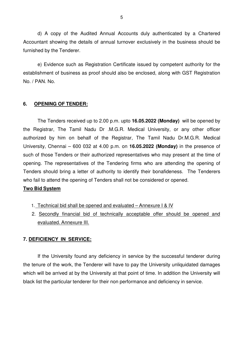d) A copy of the Audited Annual Accounts duly authenticated by a Chartered Accountant showing the details of annual turnover exclusively in the business should be furnished by the Tenderer.

e) Evidence such as Registration Certificate issued by competent authority for the establishment of business as proof should also be enclosed, along with GST Registration No. / PAN. No.

# **6. OPENING OF TENDER:**

The Tenders received up to 2.00 p.m. upto **16.05.2022 (Monday)** will be opened by the Registrar, The Tamil Nadu Dr .M.G.R. Medical University, or any other officer authorized by him on behalf of the Registrar, The Tamil Nadu Dr.M.G.R. Medical University, Chennai – 600 032 at 4.00 p.m. on **16.05.2022 (Monday)** in the presence of such of those Tenders or their authorized representatives who may present at the time of opening. The representatives of the Tendering firms who are attending the opening of Tenders should bring a letter of authority to identify their bonafideness. The Tenderers who fail to attend the opening of Tenders shall not be considered or opened.

# **Two Bid System**

- 1. Technical bid shall be opened and evaluated Annexure I & IV
- 2. Secondly financial bid of technically acceptable offer should be opened and evaluated. Annexure III.

# **7. DEFICIENCY IN SERVICE:**

If the University found any deficiency in service by the successful tenderer during the tenure of the work, the Tenderer will have to pay the University unliquidated damages which will be arrived at by the University at that point of time. In addition the University will black list the particular tenderer for their non performance and deficiency in service.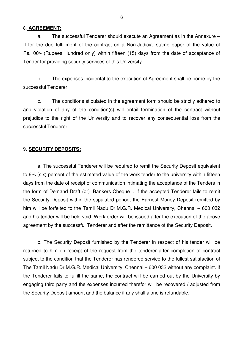#### 8. **AGREEMENT:**

a. The successful Tenderer should execute an Agreement as in the Annexure – II for the due fulfillment of the contract on a Non-Judicial stamp paper of the value of Rs.100/- (Rupees Hundred only) within fifteen (15) days from the date of acceptance of Tender for providing security services of this University.

b. The expenses incidental to the execution of Agreement shall be borne by the successful Tenderer.

c. The conditions stipulated in the agreement form should be strictly adhered to and violation of any of the condition(s) will entail termination of the contract without prejudice to the right of the University and to recover any consequential loss from the successful Tenderer.

#### 9. **SECURITY DEPOSITS:**

a. The successful Tenderer will be required to remit the Security Deposit equivalent to 6% (six) percent of the estimated value of the work tender to the university within fifteen days from the date of receipt of communication intimating the acceptance of the Tenders in the form of Demand Draft (or) Bankers Cheque . If the accepted Tenderer fails to remit the Security Deposit within the stipulated period, the Earnest Money Deposit remitted by him will be forfeited to the Tamil Nadu Dr.M.G.R. Medical University, Chennai – 600 032 and his tender will be held void. Work order will be issued after the execution of the above agreement by the successful Tenderer and after the remittance of the Security Deposit.

b. The Security Deposit furnished by the Tenderer in respect of his tender will be returned to him on receipt of the request from the tenderer after completion of contract subject to the condition that the Tenderer has rendered service to the fullest satisfaction of The Tamil Nadu Dr.M.G.R. Medical University, Chennai – 600 032 without any complaint. If the Tenderer fails to fulfill the same, the contract will be carried out by the University by engaging third party and the expenses incurred therefor will be recovered / adjusted from the Security Deposit amount and the balance if any shall alone is refundable.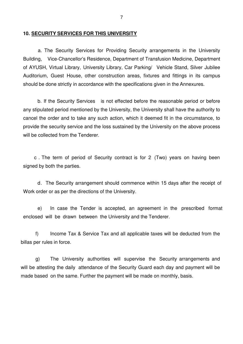#### **10. SECURITY SERVICES FOR THIS UNIVERSITY**

a. The Security Services for Providing Security arrangements in the University Building, Vice-Chancellor's Residence, Department of Transfusion Medicine, Department of AYUSH, Virtual Library, University Library, Car Parking/ Vehicle Stand, Silver Jubilee Auditorium, Guest House, other construction areas, fixtures and fittings in its campus should be done strictly in accordance with the specifications given in the Annexures.

b. If the Security Services is not effected before the reasonable period or before any stipulated period mentioned by the University, the University shall have the authority to cancel the order and to take any such action, which it deemed fit in the circumstance, to provide the security service and the loss sustained by the University on the above process will be collected from the Tenderer.

 c . The term of period of Security contract is for 2 (Two) years on having been signed by both the parties.

d. The Security arrangement should commence within 15 days after the receipt of Work order or as per the directions of the University.

e) In case the Tender is accepted, an agreement in the prescribed format enclosed will be drawn between the University and the Tenderer.

f) Income Tax & Service Tax and all applicable taxes will be deducted from the billas per rules in force.

g) The University authorities will supervise the Security arrangements and will be attesting the daily attendance of the Security Guard each day and payment will be made based on the same. Further the payment will be made on monthly, basis.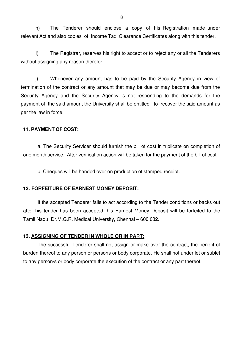h) The Tenderer should enclose a copy of his Registration made under relevant Act and also copies of Income Tax Clearance Certificates along with this tender.

I) The Registrar, reserves his right to accept or to reject any or all the Tenderers without assigning any reason therefor.

j) Whenever any amount has to be paid by the Security Agency in view of termination of the contract or any amount that may be due or may become due from the Security Agency and the Security Agency is not responding to the demands for the payment of the said amount the University shall be entitled to recover the said amount as per the law in force.

#### **11. PAYMENT OF COST:**

a. The Security Servicer should furnish the bill of cost in triplicate on completion of one month service. After verification action will be taken for the payment of the bill of cost.

b. Cheques will be handed over on production of stamped receipt.

#### **12. FORFEITURE OF EARNEST MONEY DEPOSIT:**

If the accepted Tenderer fails to act according to the Tender conditions or backs out after his tender has been accepted, his Earnest Money Deposit will be forfeited to the Tamil Nadu Dr.M.G.R. Medical University, Chennai – 600 032.

#### **13. ASSIGNING OF TENDER IN WHOLE OR IN PART:**

The successful Tenderer shall not assign or make over the contract, the benefit of burden thereof to any person or persons or body corporate. He shall not under let or sublet to any person/s or body corporate the execution of the contract or any part thereof.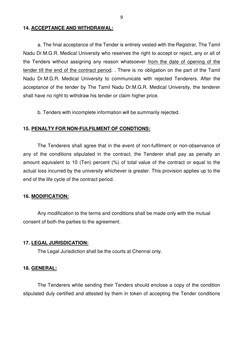#### **14. ACCEPTANCE AND WITHDRAWAL:**

a. The final acceptance of the Tender is entirely vested with the Registrar, The Tamil Nadu Dr.M.G.R. Medical University who reserves the right to accept or reject, any or all of the Tenders without assigning any reason whatsoever from the date of opening of the tender till the end of the contract period. . There is no obligation on the part of the Tamil Nadu Dr.M.G.R. Medical University to communicate with rejected Tenderers. After the acceptance of the tender by The Tamil Nadu Dr.M.G.R. Medical University, the tenderer shall have no right to withdraw his tender or claim higher price.

b. Tenders with incomplete information will be summarily rejected.

#### **15. PENALTY FOR NON-FULFILMENT OF CONDTIONS:**

The Tenderers shall agree that in the event of non-fulfilment or non-observance of any of the conditions stipulated in the contract, the Tenderer shall pay as penalty an amount equivalent to 10 (Ten) percent (%) of total value of the contract or equal to the actual loss incurred by the university whichever is greater. This provision applies up to the end of the life cycle of the contract period.

#### **16. MODIFICATION:**

Any modification to the terms and conditions shall be made only with the mutual consent of both the parties to the agreement.

#### **17. LEGAL JURISDICATION:**

The Legal Jurisdiction shall be the courts at Chennai only.

#### **18. GENERAL:**

The Tenderers while sending their Tenders should enclose a copy of the condition stipulated duly certified and attested by them in token of accepting the Tender conditions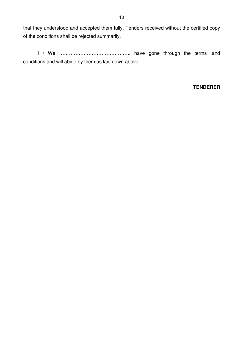that they understood and accepted them fully. Tenders received without the certified copy of the conditions shall be rejected summarily.

I / We …………………………………….. have gone through the terms and conditions and will abide by them as laid down above.

#### **TENDERER**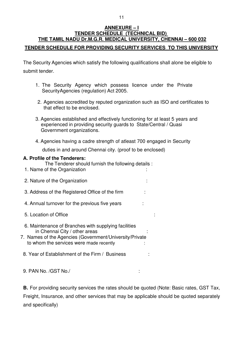# **ANNEXURE – I TENDER SCHEDULE (TECHNICAL BID) THE TAMIL NADU Dr.M.G.R. MEDICAL UNIVERSITY, CHENNAI – 600 032 TENDER SCHEDULE FOR PROVIDING SECURITY SERVICES TO THIS UNIVERSITY**

The Security Agencies which satisfy the following qualifications shall alone be eligible to submit tender.

- 1. The Security Agency which possess licence under the Private Security Agencies (regulation) Act 2005.
- 2. Agencies accredited by reputed organization such as ISO and certificates to that effect to be enclosed.
- 3. Agencies established and effectively functioning for at least 5 years and experienced in providing security guards to State/Central / Quasi Government organizations.
- 4. Agencies having a cadre strength of atleast 700 engaged in Security

duties in and around Chennai city. (proof to be enclosed)

#### **A. Profile of the Tenderers:**

- The Tenderer should furnish the following details :
- 1. Name of the Organization :

| 2. Nature of the Organization                                                                                                                                                                                                                  |  |
|------------------------------------------------------------------------------------------------------------------------------------------------------------------------------------------------------------------------------------------------|--|
| 3. Address of the Registered Office of the firm                                                                                                                                                                                                |  |
| 4. Annual turnover for the previous five years                                                                                                                                                                                                 |  |
| 5. Location of Office                                                                                                                                                                                                                          |  |
| 6. Maintenance of Branches with supplying facilities<br>in Chennai City / other areas<br>7. Names of the Agencies (Government/University/Private<br>to whom the services were made recently<br>8. Year of Establishment of the Firm / Business |  |
|                                                                                                                                                                                                                                                |  |

9. PAN No. /GST No./ :

**B.** For providing security services the rates should be quoted (Note: Basic rates, GST Tax, Freight, Insurance, and other services that may be applicable should be quoted separately and specifically)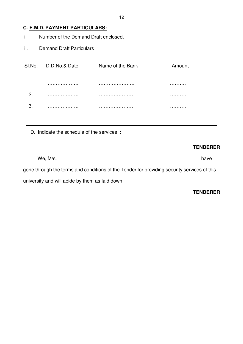#### **C. E.M.D. PAYMENT PARTICULARS:**

- i. Number of the Demand Draft enclosed.
- ii. Demand Draft Particulars

|                | SI.No. D.D.No.& Date | Name of the Bank | Amount |  |
|----------------|----------------------|------------------|--------|--|
|                | .                    |                  | .      |  |
| $\overline{2}$ | .                    |                  | .      |  |
| ?              | . .                  |                  | .      |  |

D. Indicate the schedule of the services :

#### **TENDERER**

We, M/s. have have the matrix of the matrix of the matrix  $\sim$  have have have have the matrix of the matrix of the matrix of the matrix of the matrix of the matrix of the matrix of the matrix of the matrix of the matrix of

gone through the terms and conditions of the Tender for providing security services of this university and will abide by them as laid down.

#### **TENDERER**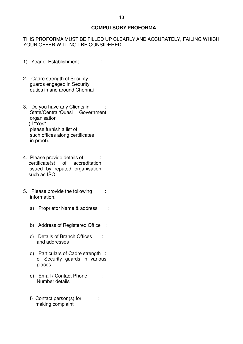#### **COMPULSORY PROFORMA**

## THIS PROFORMA MUST BE FILLED UP CLEARLY AND ACCURATELY, FAILING WHICH YOUR OFFER WILL NOT BE CONSIDERED

- 1) Year of Establishment :
- 2. Cadre strength of Security : guards engaged in Security duties in and around Chennai
- 3. Do you have any Clients in : State/Central/Quasi Government organisation (If "Yes" please furnish a list of such offices along certificates in proof).
- 4. Please provide details of : certificate(s) of accreditation issued by reputed organisation such as ISO:
- 5. Please provide the following : information.
	- a) Proprietor Name & address :
	- b) Address of Registered Office :
	- c) Details of Branch Offices : and addresses
	- d) Particulars of Cadre strength : of Security guards in various places
	- e) Email / Contact Phone : Number details
	- f) Contact person(s) for : making complaint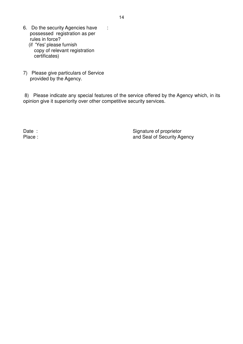- 6. Do the security Agencies have : possessed registration as per rules in force?
	- (if 'Yes' please furnish copy of relevant registration certificates)
- 7) Please give particulars of Service provided by the Agency.

8) Please indicate any special features of the service offered by the Agency which, in its opinion give it superiority over other competitive security services.

Date :<br>
Date :<br>
Place :<br>
Signature of proprietor<br>
and Seal of Security Ad and Seal of Security Agency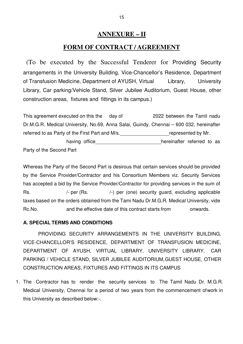# **ANNEXURE – II**

# **FORM OF CONTRACT / AGREEMENT**

(To be executed by the Successful Tenderer for Providing Security arrangements in the University Building, Vice-Chancellor's Residence, Department of Transfusion Medicine, Department of AYUSH, Virtual Library, University Library, Car parking/Vehicle Stand, Silver Jubilee Auditorium, Guest House, other construction areas, fixtures and fittings in its campus.)

This agreement executed on this the day of 2022 between the Tamil nadu Dr.M.G.R. Medical University, No.69, Anna Salai, Guindy, Chennai – 600 032, hereinafter referred to as Party of the First Part and M/s. represented by Mr. having office having the hereinafter referred to as Party of the Second Part

Whereas the Party of the Second Part is desirous that certain services should be provided by the Service Provider/Contractor and his Consortium Members viz. Security Services has accepted a bid by the Service Provider/Contractor for providing services in the sum of Rs.  $/$ - per (Rs.  $/$ -) per (one) security guard, excluding applicable taxes based on the orders obtained from the Tami Nadu Dr.M.G.R. Medical University, vide Rc.No. and the effective date of this contract starts from onwards.

# **A. SPECIAL TERMS AND CONDITIONS**

 PROVIDING SECURITY ARRANGEMENTS IN THE UNIVERSITY BUILDING, VICE-CHANCELLOR'S RESIDENCE, DEPARTMENT OF TRANSFUSION MEDICINE, DEPARTMENT OF AYUSH, VIRTUAL LIBRARY, UNIVERSITY LIBRARY, CAR PARKING / VEHICLE STAND, SILVER JUBILEE AUDITORIUM, GUEST HOUSE, OTHER CONSTRUCTION AREAS, FIXTURES AND FITTINGS IN ITS CAMPUS

1. The Contractor has to render the security services to The Tamil Nadu Dr. M.G.R. Medical University, Chennai for a period of two years from the commencement of work in this University as described below:-.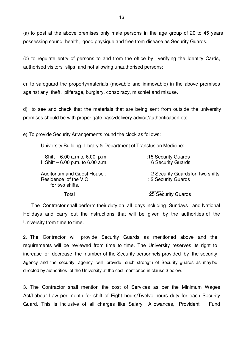(a) to post at the above premises only male persons in the age group of 20 to 45 years possessing sound health, good physique and free from disease as Security Guards.

(b) to regulate entry of persons to and from the office by verifying the Identity Cards, authorised visitors slips and not allowing unauthorised persons;

c) to safeguard the property/materials (movable and immovable) in the above premises against any theft, pilferage, burglary, conspiracy, mischief and misuse.

d) to see and check that the materials that are being sent from outside the university premises should be with proper gate pass/delivery advice/authentication etc.

e) To provide Security Arrangements round the clock as follows:

University Building ,Library & Department of Transfusion Medicine:

| I Shift $-6.00$ a.m to 6.00 p.m<br>II Shift $-6.00$ p.m. to 6.00 a.m.   | :15 Security Guards<br>: 6 Security Guards             |
|-------------------------------------------------------------------------|--------------------------------------------------------|
| Auditorium and Guest House:<br>Residence of the V.C.<br>for two shifts. | 2 Security Guardsfor two shifts<br>: 2 Security Guards |
| Total                                                                   | 25 Security Guards                                     |

 The Contractor shall perform their duty on all days including Sundays and National Holidays and carry out the instructions that will be given by the authorities of the University from time to time.

2. The Contractor will provide Security Guards as mentioned above and the requirements will be reviewed from time to time. The University reserves its right to increase or decrease the number of the Security personnels provided by the security agency and the security agency will provide such strength of Security guards as may be directed by authorities of the University at the cost mentioned in clause 3 below.

3. The Contractor shall mention the cost of Services as per the Minimum Wages Act/Labour Law per month for shift of Eight hours/Twelve hours duty for each Security Guard. This is inclusive of all charges like Salary, Allowances, Provident Fund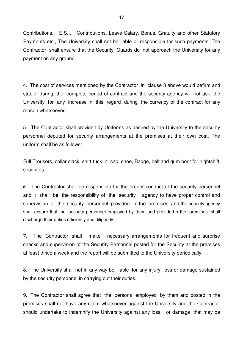Contributions, E.S.I. Contributions, Leave Salary, Bonus, Gratuity and other Statutory Payments etc., The University shall not be liable or responsible for such payments. The Contractor shall ensure that the Security Guards do not approach the University for any payment on any ground.

4. The cost of services mentioned by the Contractor in clause 3 above would befirm and stable during the complete period of contract and the security agency will not ask the University for any increase in this regard during the currency of the contract for any reason whatsoever.

5. The Contractor shall provide tidy Uniforms as desired by the University to the security personnel deputed for security arrangements at the premises at their own cost. The uniform shall be as follows:

Full Trousers, collar slack, shirt tuck in, cap, shoe, Badge, belt and gum boot for night shift securities.

6. The Contractor shall be responsible for the proper conduct of the security personnel and it shall be the responsibility of the security agency to have proper control and supervision of the security personnel provided in the premises and the security agency shall ensure that the security personnel employed by them and provided in the premises shall discharge their duties efficiently and diligently.

7. The Contractor shall make necessary arrangements for frequent and surprise checks and supervision of the Security Personnel posted for the Security at the premises at least thrice a week and the report will be submitted to the University periodically.

8. The University shall not in any way be liable for any injury, loss or damage sustained by the security personnel in carrying out their duties.

9. The Contractor shall agree that the persons employed by them and posted in the premises shall not have any claim whatsoever against the University and the Contractor should undertake to indemnify the University against any loss or damage that may be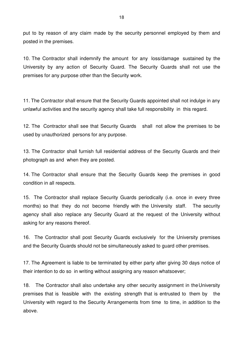put to by reason of any claim made by the security personnel employed by them and posted in the premises.

10. The Contractor shall indemnify the amount for any loss/damage sustained by the University by any action of Security Guard. The Security Guards shall not use the premises for any purpose other than the Security work.

11. The Contractor shall ensure that the Security Guards appointed shall not indulge in any unlawful activities and the security agency shall take full responsibility in this regard.

12. The Contractor shall see that Security Guards shall not allow the premises to be used by unauthorized persons for any purpose.

13. The Contractor shall furnish full residential address of the Security Guards and their photograph as and when they are posted.

14. The Contractor shall ensure that the Security Guards keep the premises in good condition in all respects.

15. The Contractor shall replace Security Guards periodically (i.e. once in every three months) so that they do not become friendly with the University staff. The security agency shall also replace any Security Guard at the request of the University without asking for any reasons thereof.

16. The Contractor shall post Security Guards exclusively for the University premises and the Security Guards should not be simultaneously asked to guard other premises.

17. The Agreement is liable to be terminated by either party after giving 30 days notice of their intention to do so in writing without assigning any reason whatsoever;

18. The Contractor shall also undertake any other security assignment in the University premises that is feasible with the existing strength that is entrusted to them by the University with regard to the Security Arrangements from time to time, in addition to the above.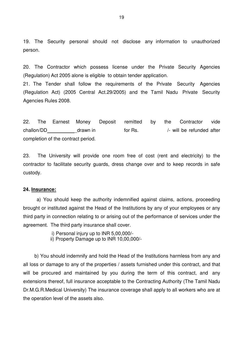19. The Security personal should not disclose any information to unauthorized person.

20. The Contractor which possess license under the Private Security Agencies (Regulation) Act 2005 alone is eligible to obtain tender application.

21. The Tender shall follow the requirements of the Private Security Agencies (Regulation Act) (2005 Central Act.29/2005) and the Tamil Nadu Private Security Agencies Rules 2008.

22. The Earnest Money Deposit remitted by the Contractor vide challon/DD drawn in for Rs. Anallon/DD challon/DD drawn in the for Rs. Anallon/DD completion of the contract period.

23. The University will provide one room free of cost (rent and electricity) to the contractor to facilitate security guards, dress change over and to keep records in safe custody.

#### **24. Insurance:**

a) You should keep the authority indemnified against claims, actions, proceeding brought or instituted against the Head of the Institutions by any of your employees or any third party in connection relating to or arising out of the performance of services under the agreement. The third party insurance shall cover.

i) Personal injury up to INR 5,00,000/-

ii) Property Damage up to INR 10,00,000/-

b) You should indemnify and hold the Head of the Institutions harmless from any and all loss or damage to any of the properties / assets furnished under this contract, and that will be procured and maintained by you during the term of this contract, and any extensions thereof, full insurance acceptable to the Contracting Authority (The Tamil Nadu Dr.M.G.R.Medical University) The insurance coverage shall apply to all workers who are at the operation level of the assets also.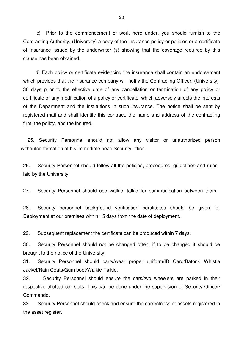c) Prior to the commencement of work here under, you should furnish to the Contracting Authority, (University) a copy of the insurance policy or policies or a certificate of insurance issued by the underwriter (s) showing that the coverage required by this clause has been obtained.

d) Each policy or certificate evidencing the insurance shall contain an endorsement which provides that the insurance company will notify the Contracting Officer, (University) 30 days prior to the effective date of any cancellation or termination of any policy or certificate or any modification of a policy or certificate, which adversely affects the interests of the Department and the institutions in such insurance. The notice shall be sent by registered mail and shall identify this contract, the name and address of the contracting firm, the policy, and the insured.

25. Security Personnel should not allow any visitor or unauthorized person without confirmation of his immediate head Security officer

26. Security Personnel should follow all the policies, procedures, guidelines and rules laid by the University.

27. Security Personnel should use walkie talkie for communication between them.

28. Security personnel background verification certificates should be given for Deployment at our premises within 15 days from the date of deployment.

29. Subsequent replacement the certificate can be produced within 7 days.

30. Security Personnel should not be changed often, if to be changed it should be brought to the notice of the University.

31. Security Personnel should carry/wear proper uniform/ID Card/Baton/. Whistle Jacket/Rain Coats/Gum boot/Walkie-Talkie.

32. Security Personnel should ensure the cars/two wheelers are parked in their respective allotted car slots. This can be done under the supervision of Security Officer/ Commando.

33. Security Personnel should check and ensure the correctness of assets registered in the asset register.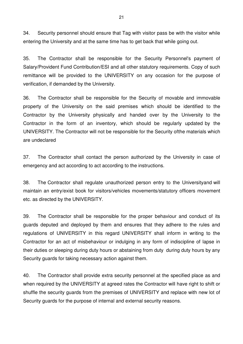34. Security personnel should ensure that Tag with visitor pass be with the visitor while entering the University and at the same time has to get back that while going out.

35. The Contractor shall be responsible for the Security Personnel's payment of Salary/Provident Fund Contribution/ESI and all other statutory requirements. Copy of such remittance will be provided to the UNIVERSITY on any occasion for the purpose of verification, if demanded by the University.

36. The Contractor shall be responsible for the Security of movable and immovable property of the University on the said premises which should be identified to the Contractor by the University physically and handed over by the University to the Contractor in the form of an inventory, which should be regularly updated by the UNIVERSITY. The Contractor will not be responsible for the Security of the materials which are undeclared

37. The Contractor shall contact the person authorized by the University in case of emergency and act according to act according to the instructions.

38. The Contractor shall regulate unauthorized person entry to the University and will maintain an entry/exist book for visitors/vehicles movements/statutory officers movement etc. as directed by the UNIVERSITY.

39. The Contractor shall be responsible for the proper behaviour and conduct of its guards deputed and deployed by them and ensures that they adhere to the rules and regulations of UNIVERSITY in this regard UNIVERSITY shall inform in writing to the Contractor for an act of misbehaviour or indulging in any form of indiscipline of lapse in their duties or sleeping during duty hours or abstaining from duty during duty hours by any Security guards for taking necessary action against them.

40. The Contractor shall provide extra security personnel at the specified place as and when required by the UNIVERSITY at agreed rates the Contractor will have right to shift or shuffle the security guards from the premises of UNIVERSITY and replace with new lot of Security guards for the purpose of internal and external security reasons.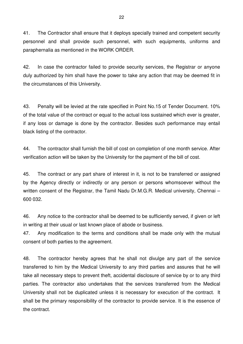41. The Contractor shall ensure that it deploys specially trained and competent security personnel and shall provide such personnel, with such equipments, uniforms and paraphernalia as mentioned in the WORK ORDER.

42. In case the contractor failed to provide security services, the Registrar or anyone duly authorized by him shall have the power to take any action that may be deemed fit in the circumstances of this University.

43. Penalty will be levied at the rate specified in Point No.15 of Tender Document. 10% of the total value of the contract or equal to the actual loss sustained which ever is greater, if any loss or damage is done by the contractor. Besides such performance may entail black listing of the contractor.

44. The contractor shall furnish the bill of cost on completion of one month service. After verification action will be taken by the University for the payment of the bill of cost.

45. The contract or any part share of interest in it, is not to be transferred or assigned by the Agency directly or indirectly or any person or persons whomsoever without the written consent of the Registrar, the Tamil Nadu Dr.M.G.R. Medical university, Chennai – 600 032.

46. Any notice to the contractor shall be deemed to be sufficiently served, if given or left in writing at their usual or last known place of abode or business.

47. Any modification to the terms and conditions shall be made only with the mutual consent of both parties to the agreement.

48. The contractor hereby agrees that he shall not divulge any part of the service transferred to him by the Medical University to any third parties and assures that he will take all necessary steps to prevent theft, accidental disclosure of service by or to any third parties. The contractor also undertakes that the services transferred from the Medical University shall not be duplicated unless it is necessary for execution of the contract. It shall be the primary responsibility of the contractor to provide service. It is the essence of the contract.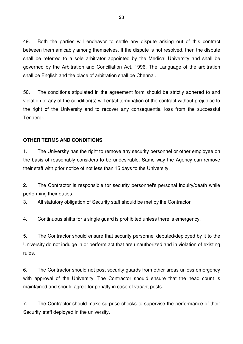49. Both the parties will endeavor to settle any dispute arising out of this contract between them amicably among themselves. If the dispute is not resolved, then the dispute shall be referred to a sole arbitrator appointed by the Medical University and shall be governed by the Arbitration and Conciliation Act, 1996. The Language of the arbitration shall be English and the place of arbitration shall be Chennai.

50. The conditions stipulated in the agreement form should be strictly adhered to and violation of any of the condition(s) will entail termination of the contract without prejudice to the right of the University and to recover any consequential loss from the successful Tenderer.

# **OTHER TERMS AND CONDITIONS**

1. The University has the right to remove any security personnel or other employee on the basis of reasonably considers to be undesirable. Same way the Agency can remove their staff with prior notice of not less than 15 days to the University.

2. The Contractor is responsible for security personnel's personal inquiry/death while performing their duties.

3. All statutory obligation of Security staff should be met by the Contractor

4. Continuous shifts for a single guard is prohibited unless there is emergency.

5. The Contractor should ensure that security personnel deputed/deployed by it to the University do not indulge in or perform act that are unauthorized and in violation of existing rules.

6. The Contractor should not post security guards from other areas unless emergency with approval of the University. The Contractor should ensure that the head count is maintained and should agree for penalty in case of vacant posts.

7. The Contractor should make surprise checks to supervise the performance of their Security staff deployed in the university.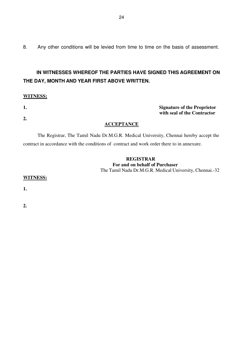# **IN WITNESSES WHEREOF THE PARTIES HAVE SIGNED THIS AGREEMENT ON THE DAY, MONTH AND YEAR FIRST ABOVE WRITTEN.**

#### **WITNESS:**

**2.** 

**1. Signature of the Proprietor with seal of the Contractor** 

#### **ACCEPTANCE**

The Registrar, The Tamil Nadu Dr.M.G.R. Medical University, Chennai hereby accept the contract in accordance with the conditions of contract and work order there to in annexure.

# **REGISTRAR**

**For and on behalf of Purchaser**  The Tamil Nadu Dr.M.G.R. Medical University, Chennai.-32

#### **WITNESS:**

**1.** 

**2.**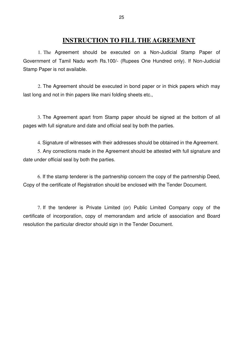# **INSTRUCTION TO FILL THE AGREEMENT**

1. The Agreement should be executed on a Non-Judicial Stamp Paper of Government of Tamil Nadu worh Rs.100/- (Rupees One Hundred only). If Non-Judicial Stamp Paper is not available.

2. The Agreement should be executed in bond paper or in thick papers which may last long and not in thin papers like mani folding sheets etc.,

3. The Agreement apart from Stamp paper should be signed at the bottom of all pages with full signature and date and official seal by both the parties.

4. Signature of witnesses with their addresses should be obtained in the Agreement.

5. Any corrections made in the Agreement should be attested with full signature and date under official seal by both the parties.

6. If the stamp tenderer is the partnership concern the copy of the partnership Deed, Copy of the certificate of Registration should be enclosed with the Tender Document.

7. If the tenderer is Private Limited (or) Public Limited Company copy of the certificate of incorporation, copy of memorandam and article of association and Board resolution the particular director should sign in the Tender Document.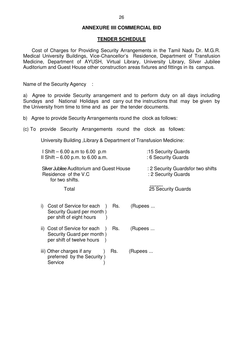#### **ANNEXURE IIII COMMERCIAL BID**

#### **TENDER SCHEDULE**

Cost of Charges for Providing Security Arrangements in the Tamil Nadu Dr. M.G.R. Medical University Buildings, Vice-Chancellor's Residence, Department of Transfusion Medicine, Department of AYUSH, Virtual Library, University Library, Silver Jubilee Auditorium and Guest House other construction areas fixtures and fittings in its campus.

Name of the Security Agency :

a) Agree to provide Security arrangement and to perform duty on all days including Sundays and National Holidays and carry out the instructions that may be given by the University from time to time and as per the tender documents.

b) Agree to provide Security Arrangements round the clock as follows:

(c) To provide Security Arrangements round the clock as follows:

University Building ,Library & Department of Transfusion Medicine:

| I Shift $-6.00$ a.m to 6.00 p.m<br>II Shift $-6.00$ p.m. to 6.00 a.m.                                            | :15 Security Guards<br>: 6 Security Guards               |
|------------------------------------------------------------------------------------------------------------------|----------------------------------------------------------|
| Silver Jubilee Auditorium and Guest House<br>Residence of the V.C<br>for two shifts.                             | : 2 Security Guardsfor two shifts<br>: 2 Security Guards |
| Total                                                                                                            | 25 Security Guards                                       |
| Cost of Service for each )<br>Rs.<br>$\mathbf{I}$<br>Security Guard per month)<br>per shift of eight hours       | (Rupees                                                  |
| ii) Cost of Service for each<br>Rs.<br>$\rightarrow$<br>Security Guard per month)<br>per shift of twelve hours ) | (Rupees                                                  |
| iii) Other charges if any<br>Rs.<br>preferred by the Security)<br>Service                                        | (Rupees                                                  |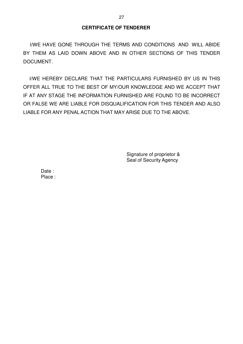## **CERTIFICATE OF TENDERER**

I/WE HAVE GONE THROUGH THE TERMS AND CONDITIONS AND WILL ABIDE BY THEM AS LAID DOWN ABOVE AND IN OTHER SECTIONS OF THIS TENDER DOCUMENT.

I/WE HEREBY DECLARE THAT THE PARTICULARS FURNISHED BY US IN THIS OFFER ALL TRUE TO THE BEST OF MY/OUR KNOWLEDGE AND WE ACCEPT THAT IF AT ANY STAGE THE INFORMATION FURNISHED ARE FOUND TO BE INCORRECT OR FALSE WE ARE LIABLE FOR DISQUALIFICATION FOR THIS TENDER AND ALSO LIABLE FOR ANY PENAL ACTION THAT MAY ARISE DUE TO THE ABOVE.

> Signature of proprietor & Seal of Security Agency

Date : Place :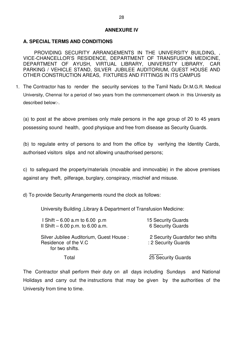#### **ANNEXURE IV**

#### **A. SPECIAL TERMS AND CONDITIONS**

PROVIDING SECURITY ARRANGEMENTS IN THE UNIVERSITY BUILDING, VICE-CHANCELLOR'S RESIDENCE, DEPARTMENT OF TRANSFUSION MEDICINE, DEPARTMENT OF AYUSH, VIRTUAL LIBRARY, UNIVERSITY LIBRARY, CAR PARKING / VEHICLE STAND, SILVER JUBILEE AUDITORIUM, GUEST HOUSE AND OTHER CONSTRUCTION AREAS, FIXTURES AND FITTINGS IN ITS CAMPUS

1. The Contractor has to render the security services to the Tamil Nadu Dr.M.G.R. Medical University, Chennai for a period of two years from the commencement of work in this University as described below:-.

(a) to post at the above premises only male persons in the age group of 20 to 45 years possessing sound health, good physique and free from disease as Security Guards.

(b) to regulate entry of persons to and from the office by verifying the Identity Cards, authorised visitors slips and not allowing unauthorised persons;

c) to safeguard the property/materials (movable and immovable) in the above premises against any theft, pilferage, burglary, conspiracy, mischief and misuse.

d) To provide Security Arrangements round the clock as follows:

University Building ,Library & Department of Transfusion Medicine:

| I Shift $-6.00$ a.m to 6.00 p.m                                                     | 15 Security Guards                                     |
|-------------------------------------------------------------------------------------|--------------------------------------------------------|
| II Shift $-6.00$ p.m. to 6.00 a.m.                                                  | <b>6 Security Guards</b>                               |
| Silver Jubilee Auditorium, Guest House:<br>Residence of the V.C.<br>for two shifts. | 2 Security Guardsfor two shifts<br>: 2 Security Guards |
| Total                                                                               | 25 Security Guards                                     |

The Contractor shall perform their duty on all days including Sundays and National Holidays and carry out the instructions that may be given by the authorities of the University from time to time.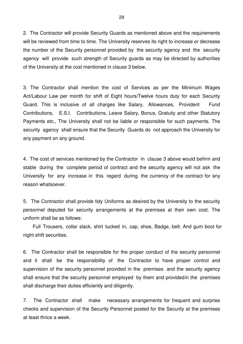2. The Contractor will provide Security Guards as mentioned above and the requirements will be reviewed from time to time. The University reserves its right to increase or decrease the number of the Security personnel provided by the security agency and the security agency will provide such strength of Security guards as may be directed by authorities of the University at the cost mentioned in clause 3 below.

3. The Contractor shall mention the cost of Services as per the Minimum Wages Act/Labour Law per month for shift of Eight hours/Twelve hours duty for each Security Guard. This is inclusive of all charges like Salary, Allowances, Provident Fund Contributions, E.S.I. Contributions, Leave Salary, Bonus, Gratuity and other Statutory Payments etc., The University shall not be liable or responsible for such payments. The security agency shall ensure that the Security Guards do not approach the University for any payment on any ground.

4. The cost of services mentioned by the Contractor in clause 3 above would befirm and stable during the complete period of contract and the security agency will not ask the University for any increase in this regard during the currency of the contract for any reason whatsoever.

5. The Contractor shall provide tidy Uniforms as desired by the University to the security personnel deputed for security arrangements at the premises at their own cost. The uniform shall be as follows:

 Full Trousers, collar slack, shirt tucked in, cap, shoe, Badge, belt. And gum boot for night shift securities.

6. The Contractor shall be responsible for the proper conduct of the security personnel and it shall be the responsibility of the Contractor to have proper control and supervision of the security personnel provided in the premises and the security agency shall ensure that the security personnel employed by them and provided in the premises shall discharge their duties efficiently and diligently.

7. The Contractor shall make necessary arrangements for frequent and surprise checks and supervision of the Security Personnel posted for the Security at the premises at least thrice a week.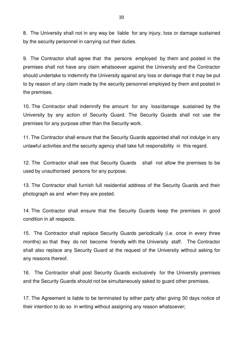8. The University shall not in any way be liable for any injury, loss or damage sustained by the security personnel in carrying out their duties.

9. The Contractor shall agree that the persons employed by them and posted in the premises shall not have any claim whatsoever against the University and the Contractor should undertake to indemnify the University against any loss or damage that it may be put to by reason of any claim made by the security personnel employed by them and posted in the premises.

10. The Contractor shall indemnify the amount for any loss/damage sustained by the University by any action of Security Guard. The Security Guards shall not use the premises for any purpose other than the Security work.

11. The Contractor shall ensure that the Security Guards appointed shall not indulge in any unlawful activities and the security agency shall take full responsibility in this regard.

12. The Contractor shall see that Security Guards shall not allow the premises to be used by unauthorised persons for any purpose.

13. The Contractor shall furnish full residential address of the Security Guards and their photograph as and when they are posted.

14. The Contractor shall ensure that the Security Guards keep the premises in good condition in all respects.

15. The Contractor shall replace Security Guards periodically (i.e. once in every three months) so that they do not become friendly with the University staff. The Contractor shall also replace any Security Guard at the request of the University without asking for any reasons thereof.

16. The Contractor shall post Security Guards exclusively for the University premises and the Security Guards should not be simultaneously asked to guard other premises.

17. The Agreement is liable to be terminated by either party after giving 30 days notice of their intention to do so in writing without assigning any reason whatsoever;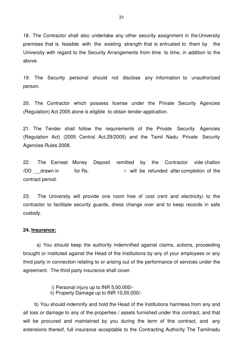18. The Contractor shall also undertake any other security assignment in the University premises that is feasible with the existing strength that is entrusted to them by the University with regard to the Security Arrangements from time to time, in addition to the above.

19. The Security personal should not disclose any information to unauthorized person.

20. The Contractor which possess license under the Private Security Agencies (Regulation) Act 2005 alone is eligible to obtain tender application.

21. The Tender shall follow the requirements of the Private Security Agencies (Regulation Act) (2005 Central Act.29/2005) and the Tamil Nadu Private Security Agencies Rules 2008.

22. The Earnest Money Deposit remitted by the Contractor vide challon /DD \_\_drawn in for Rs. 4. The Manuson of the funded after completion of the contract period.

23. The University will provide one room free of cost (rent and electricity) to the contractor to facilitate security guards, dress change over and to keep records in safe custody.

#### **24. Insurance:**

a) You should keep the authority indemnified against claims, actions, proceeding brought or instituted against the Head of the Institutions by any of your employees or any third party in connection relating to or arising out of the performance of services under the agreement. The third party insurance shall cover.

i) Personal injury up to INR 5,00,000/-

ii) Property Damage up to INR 10,00,000/-

b) You should indemnify and hold the Head of the Institutions harmless from any and all loss or damage to any of the properties / assets furnished under this contract, and that will be procured and maintained by you during the term of this contract, and any extensions thereof, full insurance acceptable to the Contracting Authority The Tamilnadu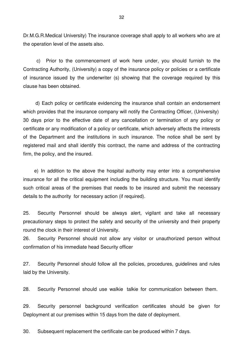Dr.M.G.R.Medical University) The insurance coverage shall apply to all workers who are at the operation level of the assets also.

c) Prior to the commencement of work here under, you should furnish to the Contracting Authority, (University) a copy of the insurance policy or policies or a certificate of insurance issued by the underwriter (s) showing that the coverage required by this clause has been obtained.

d) Each policy or certificate evidencing the insurance shall contain an endorsement which provides that the insurance company will notify the Contracting Officer, (University) 30 days prior to the effective date of any cancellation or termination of any policy or certificate or any modification of a policy or certificate, which adversely affects the interests of the Department and the institutions in such insurance. The notice shall be sent by registered mail and shall identify this contract, the name and address of the contracting firm, the policy, and the insured.

e) In addition to the above the hospital authority may enter into a comprehensive insurance for all the critical equipment including the building structure. You must identify such critical areas of the premises that needs to be insured and submit the necessary details to the authority for necessary action (if required).

25. Security Personnel should be always alert, vigilant and take all necessary precautionary steps to protect the safety and security of the university and their property round the clock in their interest of University.

26. Security Personnel should not allow any visitor or unauthorized person without confirmation of his immediate head Security officer

27. Security Personnel should follow all the policies, procedures, guidelines and rules laid by the University.

28. Security Personnel should use walkie talkie for communication between them.

29. Security personnel background verification certificates should be given for Deployment at our premises within 15 days from the date of deployment.

30. Subsequent replacement the certificate can be produced within 7 days.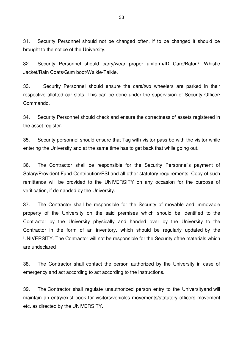31. Security Personnel should not be changed often, if to be changed it should be brought to the notice of the University.

32. Security Personnel should carry/wear proper uniform/ID Card/Baton/. Whistle Jacket/Rain Coats/Gum boot/Walkie-Talkie.

33. Security Personnel should ensure the cars/two wheelers are parked in their respective allotted car slots. This can be done under the supervision of Security Officer/ Commando.

34. Security Personnel should check and ensure the correctness of assets registered in the asset register.

35. Security personnel should ensure that Tag with visitor pass be with the visitor while entering the University and at the same time has to get back that while going out.

36. The Contractor shall be responsible for the Security Personnel's payment of Salary/Provident Fund Contribution/ESI and all other statutory requirements. Copy of such remittance will be provided to the UNIVERSITY on any occasion for the purpose of verification, if demanded by the University.

37. The Contractor shall be responsible for the Security of movable and immovable property of the University on the said premises which should be identified to the Contractor by the University physically and handed over by the University to the Contractor in the form of an inventory, which should be regularly updated by the UNIVERSITY. The Contractor will not be responsible for the Security of the materials which are undeclared

38. The Contractor shall contact the person authorized by the University in case of emergency and act according to act according to the instructions.

39. The Contractor shall regulate unauthorized person entry to the University and will maintain an entry/exist book for visitors/vehicles movements/statutory officers movement etc. as directed by the UNIVERSITY.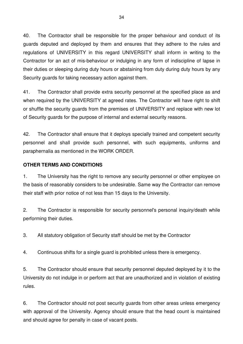40. The Contractor shall be responsible for the proper behaviour and conduct of its guards deputed and deployed by them and ensures that they adhere to the rules and regulations of UNIVERSITY in this regard UNIVERSITY shall inform in writing to the Contractor for an act of mis-behaviour or indulging in any form of indiscipline of lapse in their duties or sleeping during duty hours or abstaining from duty during duty hours by any Security guards for taking necessary action against them.

41. The Contractor shall provide extra security personnel at the specified place as and when required by the UNIVERSITY at agreed rates. The Contractor will have right to shift or shuffle the security guards from the premises of UNIVERSITY and replace with new lot of Security guards for the purpose of internal and external security reasons.

42. The Contractor shall ensure that it deploys specially trained and competent security personnel and shall provide such personnel, with such equipments, uniforms and paraphernalia as mentioned in the WORK ORDER.

# **OTHER TERMS AND CONDITIONS**

1. The University has the right to remove any security personnel or other employee on the basis of reasonably considers to be undesirable. Same way the Contractor can remove their staff with prior notice of not less than 15 days to the University.

2. The Contractor is responsible for security personnel's personal inquiry/death while performing their duties.

3. All statutory obligation of Security staff should be met by the Contractor

4. Continuous shifts for a single guard is prohibited unless there is emergency.

5. The Contractor should ensure that security personnel deputed deployed by it to the University do not indulge in or perform act that are unauthorized and in violation of existing rules.

6. The Contractor should not post security guards from other areas unless emergency with approval of the University. Agency should ensure that the head count is maintained and should agree for penalty in case of vacant posts.